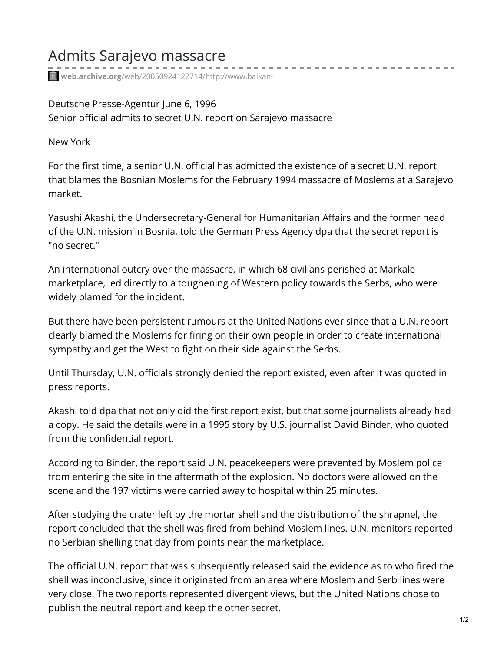## Admits Sarajevo massacre

**web.archive.org**[/web/20050924122714/http://www.balkan-](https://web.archive.org/web/20050924122714/http://www.balkan-archive.org.yu/politics/myth/articles/960606.da.html)

Deutsche Presse-Agentur June 6, 1996 Senior official admits to secret U.N. report on Sarajevo massacre

New York

For the first time, a senior U.N. official has admitted the existence of a secret U.N. report that blames the Bosnian Moslems for the February 1994 massacre of Moslems at a Sarajevo market.

Yasushi Akashi, the Undersecretary-General for Humanitarian Affairs and the former head of the U.N. mission in Bosnia, told the German Press Agency dpa that the secret report is "no secret."

An international outcry over the massacre, in which 68 civilians perished at Markale marketplace, led directly to a toughening of Western policy towards the Serbs, who were widely blamed for the incident.

But there have been persistent rumours at the United Nations ever since that a U.N. report clearly blamed the Moslems for firing on their own people in order to create international sympathy and get the West to fight on their side against the Serbs.

Until Thursday, U.N. officials strongly denied the report existed, even after it was quoted in press reports.

Akashi told dpa that not only did the first report exist, but that some journalists already had a copy. He said the details were in a 1995 story by U.S. journalist David Binder, who quoted from the confidential report.

According to Binder, the report said U.N. peacekeepers were prevented by Moslem police from entering the site in the aftermath of the explosion. No doctors were allowed on the scene and the 197 victims were carried away to hospital within 25 minutes.

After studying the crater left by the mortar shell and the distribution of the shrapnel, the report concluded that the shell was fired from behind Moslem lines. U.N. monitors reported no Serbian shelling that day from points near the marketplace.

The official U.N. report that was subsequently released said the evidence as to who fired the shell was inconclusive, since it originated from an area where Moslem and Serb lines were very close. The two reports represented divergent views, but the United Nations chose to publish the neutral report and keep the other secret.